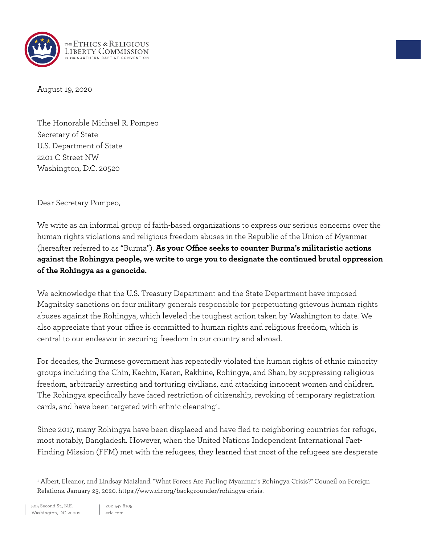

August 19, 2020

The Honorable Michael R. Pompeo Secretary of State U.S. Department of State 2201 C Street NW Washington, D.C. 20520

Dear Secretary Pompeo,

We write as an informal group of faith-based organizations to express our serious concerns over the human rights violations and religious freedom abuses in the Republic of the Union of Myanmar (hereafter referred to as "Burma"). **As your Office seeks to counter Burma's militaristic actions against the Rohingya people, we write to urge you to designate the continued brutal oppression of the Rohingya as a genocide.**

We acknowledge that the U.S. Treasury Department and the State Department have imposed Magnitsky sanctions on four military generals responsible for perpetuating grievous human rights abuses against the Rohingya, which leveled the toughest action taken by Washington to date. We also appreciate that your office is committed to human rights and religious freedom, which is central to our endeavor in securing freedom in our country and abroad.

For decades, the Burmese government has repeatedly violated the human rights of ethnic minority groups including the Chin, Kachin, Karen, Rakhine, Rohingya, and Shan, by suppressing religious freedom, arbitrarily arresting and torturing civilians, and attacking innocent women and children. The Rohingya specifically have faced restriction of citizenship, revoking of temporary registration cards, and have been targeted with ethnic cleansing<sup>1</sup>.

<span id="page-0-1"></span>Since 2017, many Rohingya have been displaced and have fled to neighboring countries for refuge, most notably, Bangladesh. However, when the United Nations Independent International Fact-Finding Mission (FFM) met with the refugees, they learned that most of the refugees are desperate

<span id="page-0-0"></span><sup>&</sup>lt;sup>1</sup>Albert, Eleanor, and Lindsay Maizland. "What Forces Are Fueling Myanmar's Rohingya Crisis?" Council on Foreign Relations. January 23, 2020. https://www.cfr.org/backgrounder/rohingya-crisis.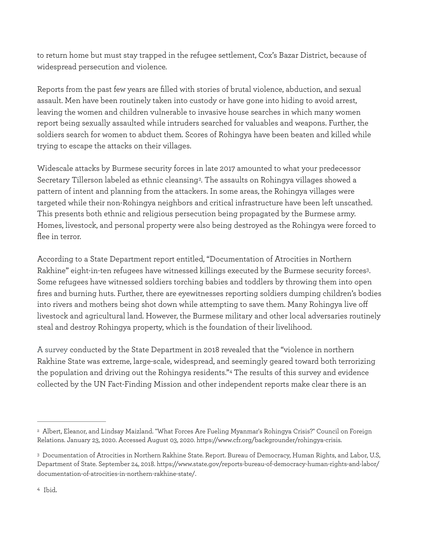to return home but must stay trapped in the refugee settlement, Cox's Bazar District, because of widespread persecution and violence.

Reports from the past few years are filled with stories of brutal violence, abduction, and sexual assault. Men have been routinely taken into custody or have gone into hiding to avoid arrest, leaving the women and children vulnerable to invasive house searches in which many women report being sexually assaulted while intruders searched for valuables and weapons. Further, the soldiers search for women to abduct them. Scores of Rohingya have been beaten and killed while trying to escape the attacks on their villages.

<span id="page-1-3"></span>Widescale attacks by Burmese security forces in late 2017 amounted to what your predecessor Secretary Tillerson labeled as ethnic cleansing<sup>[2](#page-1-0)</sup>. The assaults on Rohingya villages showed a pattern of intent and planning from the attackers. In some areas, the Rohingya villages were targeted while their non-Rohingya neighbors and critical infrastructure have been left unscathed. This presents both ethnic and religious persecution being propagated by the Burmese army. Homes, livestock, and personal property were also being destroyed as the Rohingya were forced to flee in terror.

<span id="page-1-4"></span>According to a State Department report entitled, "Documentation of Atrocities in Northern Rakhine" eight-in-ten refugees have witnessed killings executed by the Burmese security forces<sup>[3](#page-1-1)</sup>. Some refugees have witnessed soldiers torching babies and toddlers by throwing them into open fires and burning huts. Further, there are eyewitnesses reporting soldiers dumping children's bodies into rivers and mothers being shot down while attempting to save them. Many Rohingya live off livestock and agricultural land. However, the Burmese military and other local adversaries routinely steal and destroy Rohingya property, which is the foundation of their livelihood.

<span id="page-1-5"></span>A survey conducted by the State Department in 2018 revealed that the "violence in northern Rakhine State was extreme, large-scale, widespread, and seemingly geared toward both terrorizing thepopulation and driving out the Rohingya residents."[4](#page-1-2) The results of this survey and evidence collected by the UN Fact-Finding Mission and other independent reports make clear there is an

<span id="page-1-0"></span>Albert, Eleanor, and Lindsay Maizland. "What Forces Are Fueling Myanmar's Rohingya Crisis?" Council on Foreign [2](#page-1-3) Relations. January 23, 2020. Accessed August 03, 2020. https://www.cfr.org/backgrounder/rohingya-crisis.

<span id="page-1-2"></span><span id="page-1-1"></span>Documentation of Atrocities in Northern Rakhine State. Report. Bureau of Democracy, Human Rights, and Labor, U.S, [3](#page-1-4) Department of State. September 24, 2018. https://www.state.gov/reports-bureau-of-democracy-human-rights-and-labor/ documentation-of-atrocities-in-northern-rakhine-state/.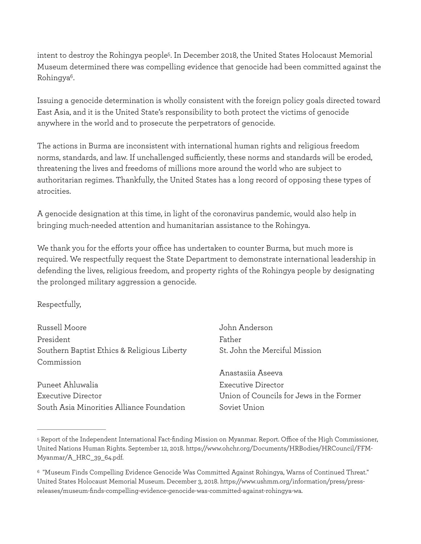<span id="page-2-3"></span><span id="page-2-2"></span>intent to destroy the Rohingya people<sup>5</sup>[.](#page-2-0) In December 2018, the United States Holocaust Memorial Museum determined there was compelling evidence that genocide had been committed against the Rohingya<sup>[6](#page-2-1)</sup>.

Issuing a genocide determination is wholly consistent with the foreign policy goals directed toward East Asia, and it is the United State's responsibility to both protect the victims of genocide anywhere in the world and to prosecute the perpetrators of genocide.

The actions in Burma are inconsistent with international human rights and religious freedom norms, standards, and law. If unchallenged sufficiently, these norms and standards will be eroded, threatening the lives and freedoms of millions more around the world who are subject to authoritarian regimes. Thankfully, the United States has a long record of opposing these types of atrocities.

A genocide designation at this time, in light of the coronavirus pandemic, would also help in bringing much-needed attention and humanitarian assistance to the Rohingya.

We thank you for the efforts your office has undertaken to counter Burma, but much more is required. We respectfully request the State Department to demonstrate international leadership in defending the lives, religious freedom, and property rights of the Rohingya people by designating the prolonged military aggression a genocide.

## Respectfully,

| Russell Moore                               | John Anderson                            |
|---------------------------------------------|------------------------------------------|
| President                                   | Father                                   |
| Southern Baptist Ethics & Religious Liberty | St. John the Merciful Mission            |
| Commission                                  |                                          |
|                                             | Anastasiia Aseeva                        |
| Puneet Ahluwalia                            | Executive Director                       |
| <b>Executive Director</b>                   | Union of Councils for Jews in the Former |
| South Asia Minorities Alliance Foundation   | Soviet Union                             |

<span id="page-2-0"></span><sup>&</sup>lt;sup>[5](#page-2-2)</sup> Report of the Independent International Fact-finding Mission on Myanmar. Report. Office of the High Commissioner, United Nations Human Rights. September 12, 2018. https://www.ohchr.org/Documents/HRBodies/HRCouncil/FFM-Myanmar/A\_HRC\_39\_64.pdf.

<span id="page-2-1"></span><sup>&</sup>quot;Museum Finds Compelling Evidence Genocide Was Committed Against Rohingya, Warns of Continued Threat." [6](#page-2-3) United States Holocaust Memorial Museum. December 3, 2018. https://www.ushmm.org/information/press/pressreleases/museum-finds-compelling-evidence-genocide-was-committed-against-rohingya-wa.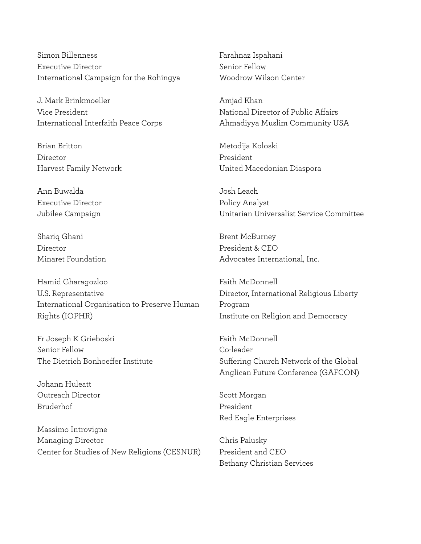Simon Billenness Executive Director International Campaign for the Rohingya

J. Mark Brinkmoeller Vice President International Interfaith Peace Corps

Brian Britton Director Harvest Family Network

Ann Buwalda Executive Director Jubilee Campaign

Shariq Ghani Director Minaret Foundation

Hamid Gharagozloo U.S. Representative International Organisation to Preserve Human Rights (IOPHR)

Fr Joseph K Grieboski Senior Fellow The Dietrich Bonhoeffer Institute

Johann Huleatt Outreach Director Bruderhof

Massimo Introvigne Managing Director Center for Studies of New Religions (CESNUR) Farahnaz Ispahani Senior Fellow Woodrow Wilson Center

Amjad Khan National Director of Public Affairs Ahmadiyya Muslim Community USA

Metodija Koloski President United Macedonian Diaspora

Josh Leach Policy Analyst Unitarian Universalist Service Committee

Brent McBurney President & CEO Advocates International, Inc.

Faith McDonnell Director, International Religious Liberty Program Institute on Religion and Democracy

Faith McDonnell Co-leader Suffering Church Network of the Global Anglican Future Conference (GAFCON)

Scott Morgan President Red Eagle Enterprises

Chris Palusky President and CEO Bethany Christian Services